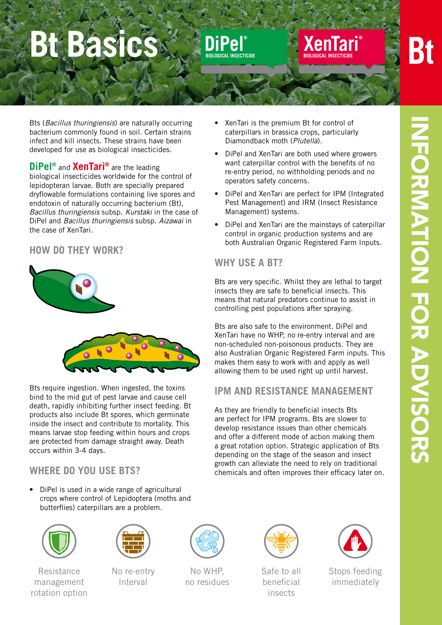# Bt Basics **Buchelle Rentari**



Bts (*Bacillus thuringiensis*) are naturally occurring bacterium commonly found in soil. Certain strains infect and kill insects. These strains have been developed for use as biological insecticides.

**DiPel®** and **XenTari®** are the leading biological insecticides worldwide for the control of lepidopteran larvae. Both are specially prepared dryflowable formulations containing live spores and endotoxin of naturally occurring bacterium (Bt), *Bacillus thuringiensis* subsp. *Kurstaki* in the case of DiPel and *Bacillus thuringiensis* subsp. *Aizawai* in the case of XenTari.

#### **How do they work?**



Bts require ingestion. When ingested, the toxins bind to the mid gut of pest larvae and cause cell death, rapidly inhibiting further insect feeding. Bt products also include Bt spores, which germinate inside the insect and contribute to mortality. This means larvae stop feeding within hours and crops are protected from damage straight away. Death occurs within 3-4 days.

#### **Where do you use Bts?**

DiPel is used in a wide range of agricultural crops where control of Lepidoptera (moths and butterflies) caterpillars are a problem.



Resistance management rotation option



No re-entry lnterval



No WHP, no residues



Safe to all beneficial insects



Stops feeding immediately

- XenTari is the premium Bt for control of caterpillars in brassica crops, particularly Diamondback moth (*Plutella*).
- DiPel and XenTari are both used where growers want caterpillar control with the benefits of no re-entry period, no withholding periods and no operators safety concerns.

**XenTari BIOLOGICAL INSECTICIDE**

- DiPel and XenTari are perfect for IPM (Integrated Pest Management) and IRM (Insect Resistance Management) systems.
- DiPel and XenTari are the mainstays of caterpillar control in organic production systems and are both Australian Organic Registered Farm Inputs.

#### **Why use a Bt?**

**DiPel**

**BIOLOGICAL INSECTICIDE** 

Bts are very specific. Whilst they are lethal to target insects they are safe to beneficial insects. This means that natural predators continue to assist in controlling pest populations after spraying.

Bts are also safe to the environment. DiPel and XenTari have no WHP, no re-entry interval and are non-scheduled non-poisonous products. They are also Australian Organic Registered Farm inputs. This makes them easy to work with and apply as well allowing them to be used right up until harvest.

#### **IPM and resistance management**

As they are friendly to beneficial insects Bts are perfect for IPM programs. Bts are slower to develop resistance issues than other chemicals and offer a different mode of action making them a great rotation option. Strategic application of Bts depending on the stage of the season and insect growth can alleviate the need to rely on traditional chemicals and often improves their efficacy later on.